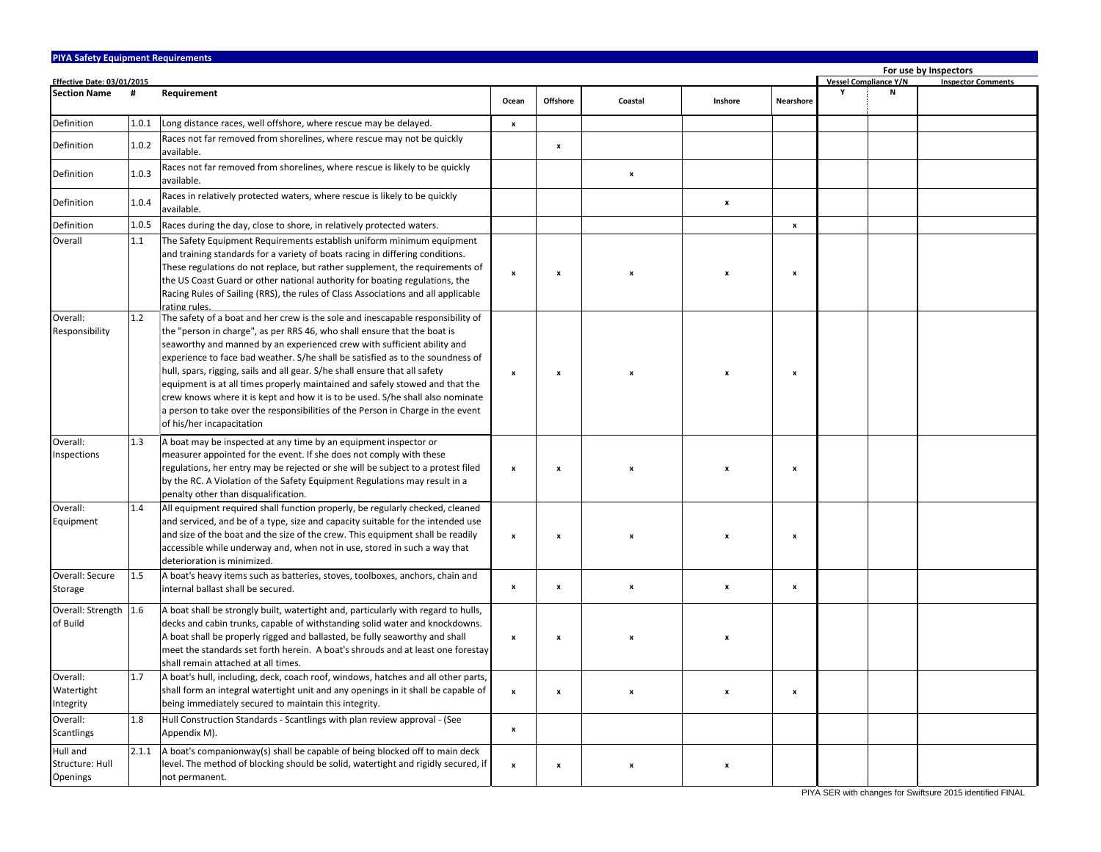| <b>PIYA Safety Equipment Requirements</b><br>For use by Inspectors |       |                                                                                                                                                                                                                                                                                                                                                                                                                                                                                                                                                                                                                                                                                           |                           |                           |         |                    |                    |   |                              |                           |  |
|--------------------------------------------------------------------|-------|-------------------------------------------------------------------------------------------------------------------------------------------------------------------------------------------------------------------------------------------------------------------------------------------------------------------------------------------------------------------------------------------------------------------------------------------------------------------------------------------------------------------------------------------------------------------------------------------------------------------------------------------------------------------------------------------|---------------------------|---------------------------|---------|--------------------|--------------------|---|------------------------------|---------------------------|--|
| <b>Effective Date: 03/01/2015</b>                                  |       |                                                                                                                                                                                                                                                                                                                                                                                                                                                                                                                                                                                                                                                                                           |                           |                           |         |                    |                    |   | <b>Vessel Compliance Y/N</b> | <b>Inspector Comments</b> |  |
| <b>Section Name</b>                                                | #     | Requirement                                                                                                                                                                                                                                                                                                                                                                                                                                                                                                                                                                                                                                                                               | Ocean                     | <b>Offshore</b>           | Coastal | Inshore            | Nearshore          | v | N                            |                           |  |
| Definition                                                         | 1.0.1 | Long distance races, well offshore, where rescue may be delayed.                                                                                                                                                                                                                                                                                                                                                                                                                                                                                                                                                                                                                          | $\pmb{\mathsf{x}}$        |                           |         |                    |                    |   |                              |                           |  |
| Definition                                                         | 1.0.2 | Races not far removed from shorelines, where rescue may not be quickly<br>available.                                                                                                                                                                                                                                                                                                                                                                                                                                                                                                                                                                                                      |                           | $\pmb{\mathsf{x}}$        |         |                    |                    |   |                              |                           |  |
| Definition                                                         | 1.0.3 | Races not far removed from shorelines, where rescue is likely to be quickly<br>available.                                                                                                                                                                                                                                                                                                                                                                                                                                                                                                                                                                                                 |                           |                           | x       |                    |                    |   |                              |                           |  |
| Definition                                                         | 1.0.4 | Races in relatively protected waters, where rescue is likely to be quickly<br>available.                                                                                                                                                                                                                                                                                                                                                                                                                                                                                                                                                                                                  |                           |                           |         | x                  |                    |   |                              |                           |  |
| Definition                                                         | 1.0.5 | Races during the day, close to shore, in relatively protected waters.                                                                                                                                                                                                                                                                                                                                                                                                                                                                                                                                                                                                                     |                           |                           |         |                    | $\pmb{\mathsf{x}}$ |   |                              |                           |  |
| Overall                                                            | 1.1   | The Safety Equipment Requirements establish uniform minimum equipment<br>and training standards for a variety of boats racing in differing conditions.<br>These regulations do not replace, but rather supplement, the requirements of<br>the US Coast Guard or other national authority for boating regulations, the<br>Racing Rules of Sailing (RRS), the rules of Class Associations and all applicable<br>rating rules.                                                                                                                                                                                                                                                               | $\boldsymbol{\mathsf{x}}$ | x                         |         | x                  | x                  |   |                              |                           |  |
| Overall:<br>Responsibility                                         | 1.2   | The safety of a boat and her crew is the sole and inescapable responsibility of<br>the "person in charge", as per RRS 46, who shall ensure that the boat is<br>seaworthy and manned by an experienced crew with sufficient ability and<br>experience to face bad weather. S/he shall be satisfied as to the soundness of<br>hull, spars, rigging, sails and all gear. S/he shall ensure that all safety<br>equipment is at all times properly maintained and safely stowed and that the<br>crew knows where it is kept and how it is to be used. S/he shall also nominate<br>a person to take over the responsibilities of the Person in Charge in the event<br>of his/her incapacitation | $\pmb{\mathsf{x}}$        | $\boldsymbol{x}$          |         |                    | x                  |   |                              |                           |  |
| Overall:<br>Inspections                                            | 1.3   | A boat may be inspected at any time by an equipment inspector or<br>measurer appointed for the event. If she does not comply with these<br>regulations, her entry may be rejected or she will be subject to a protest filed<br>by the RC. A Violation of the Safety Equipment Regulations may result in a<br>penalty other than disqualification.                                                                                                                                                                                                                                                                                                                                         | $\pmb{\mathsf{x}}$        | $\boldsymbol{\mathsf{x}}$ | x       | x                  | x                  |   |                              |                           |  |
| Overall:<br>Equipment                                              | 1.4   | All equipment required shall function properly, be regularly checked, cleaned<br>and serviced, and be of a type, size and capacity suitable for the intended use<br>and size of the boat and the size of the crew. This equipment shall be readily<br>accessible while underway and, when not in use, stored in such a way that<br>deterioration is minimized.                                                                                                                                                                                                                                                                                                                            | $\pmb{\mathsf{x}}$        | $\boldsymbol{\mathsf{x}}$ | x       | x                  | x                  |   |                              |                           |  |
| Overall: Secure<br>Storage                                         | 1.5   | A boat's heavy items such as batteries, stoves, toolboxes, anchors, chain and<br>internal ballast shall be secured.                                                                                                                                                                                                                                                                                                                                                                                                                                                                                                                                                                       | $\pmb{\mathsf{x}}$        | x                         | x       | x                  | $\pmb{\mathsf{x}}$ |   |                              |                           |  |
| Overall: Strength<br>of Build                                      | 1.6   | A boat shall be strongly built, watertight and, particularly with regard to hulls,<br>decks and cabin trunks, capable of withstanding solid water and knockdowns.<br>A boat shall be properly rigged and ballasted, be fully seaworthy and shall<br>meet the standards set forth herein. A boat's shrouds and at least one forestay<br>shall remain attached at all times.                                                                                                                                                                                                                                                                                                                | $\pmb{\mathsf{x}}$        | x                         | x       | x                  |                    |   |                              |                           |  |
| Overall:<br>Watertight<br>Integrity                                | 1.7   | A boat's hull, including, deck, coach roof, windows, hatches and all other parts,<br>shall form an integral watertight unit and any openings in it shall be capable of<br>being immediately secured to maintain this integrity.                                                                                                                                                                                                                                                                                                                                                                                                                                                           | $\pmb{\mathsf{x}}$        | $\boldsymbol{\mathsf{x}}$ | x       | $\pmb{\mathsf{x}}$ | $\pmb{\mathsf{x}}$ |   |                              |                           |  |
| Overall:<br><b>Scantlings</b>                                      | 1.8   | Hull Construction Standards - Scantlings with plan review approval - (See<br>Appendix M).                                                                                                                                                                                                                                                                                                                                                                                                                                                                                                                                                                                                 | $\boldsymbol{\mathsf{x}}$ |                           |         |                    |                    |   |                              |                           |  |
| Hull and<br>Structure: Hull<br>Openings                            | 2.1.1 | A boat's companionway(s) shall be capable of being blocked off to main deck<br>level. The method of blocking should be solid, watertight and rigidly secured, if<br>not permanent.                                                                                                                                                                                                                                                                                                                                                                                                                                                                                                        | $\mathbf{x}$              | $\boldsymbol{\mathsf{x}}$ | x       | x                  |                    |   |                              |                           |  |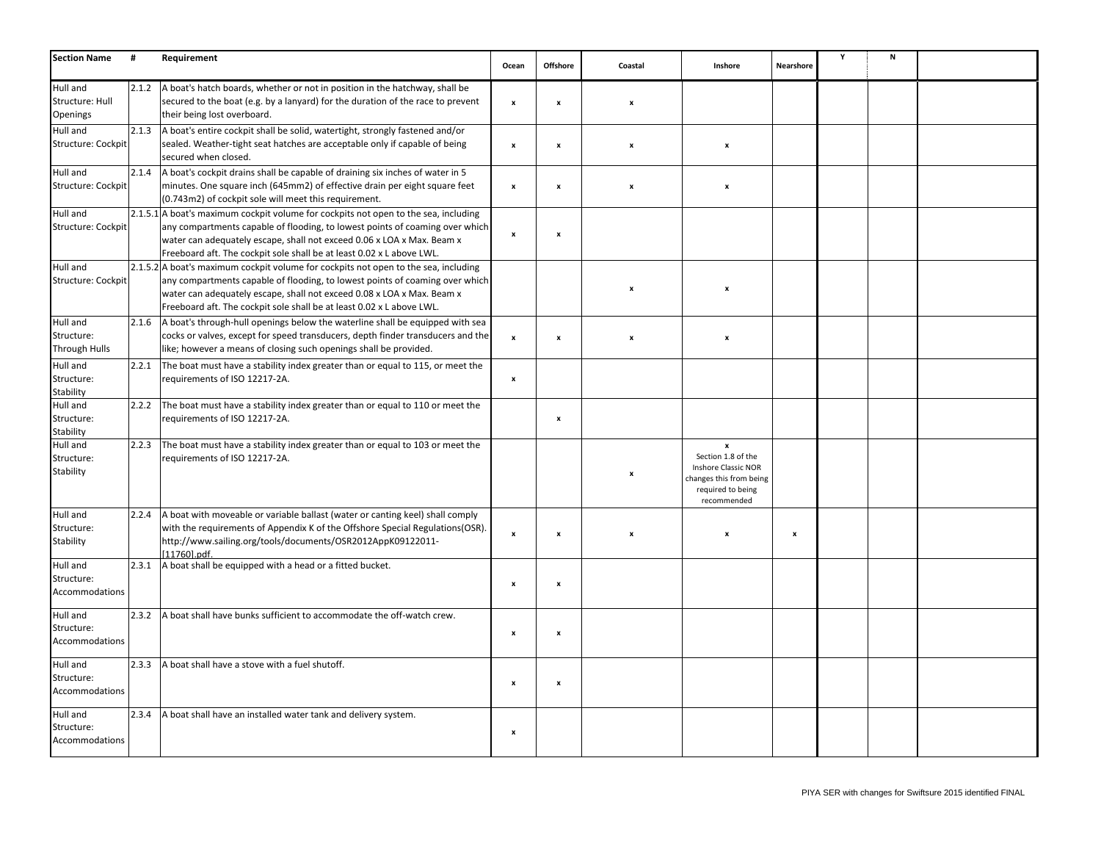| <b>Section Name</b>                            | #     | Requirement                                                                                                                                                                                                                                                                                                            | Ocean                     | Offshore           | Coastal          | Inshore                                                                                                                      | Nearshore    | Υ | N |  |
|------------------------------------------------|-------|------------------------------------------------------------------------------------------------------------------------------------------------------------------------------------------------------------------------------------------------------------------------------------------------------------------------|---------------------------|--------------------|------------------|------------------------------------------------------------------------------------------------------------------------------|--------------|---|---|--|
| Hull and<br>Structure: Hull<br>Openings        | 2.1.2 | A boat's hatch boards, whether or not in position in the hatchway, shall be<br>secured to the boat (e.g. by a lanyard) for the duration of the race to prevent<br>their being lost overboard.                                                                                                                          | $\pmb{\mathsf{x}}$        | $\pmb{\mathsf{x}}$ | x                |                                                                                                                              |              |   |   |  |
| Hull and<br>Structure: Cockpit                 | 2.1.3 | A boat's entire cockpit shall be solid, watertight, strongly fastened and/or<br>sealed. Weather-tight seat hatches are acceptable only if capable of being<br>secured when closed.                                                                                                                                     | $\boldsymbol{\mathsf{x}}$ | $\pmb{\mathsf{x}}$ | x                | $\boldsymbol{\mathsf{x}}$                                                                                                    |              |   |   |  |
| Hull and<br>Structure: Cockpit                 | 2.1.4 | A boat's cockpit drains shall be capable of draining six inches of water in 5<br>minutes. One square inch (645mm2) of effective drain per eight square feet<br>(0.743m2) of cockpit sole will meet this requirement.                                                                                                   | $\pmb{\mathsf{x}}$        | $\boldsymbol{x}$   | $\boldsymbol{x}$ | $\boldsymbol{\mathsf{x}}$                                                                                                    |              |   |   |  |
| Hull and<br>Structure: Cockpit                 |       | 2.1.5.1 A boat's maximum cockpit volume for cockpits not open to the sea, including<br>any compartments capable of flooding, to lowest points of coaming over which<br>water can adequately escape, shall not exceed 0.06 x LOA x Max. Beam x<br>Freeboard aft. The cockpit sole shall be at least 0.02 x L above LWL. | $\boldsymbol{\mathsf{x}}$ | $\pmb{\mathsf{x}}$ |                  |                                                                                                                              |              |   |   |  |
| Hull and<br>Structure: Cockpit                 |       | 2.1.5.2 A boat's maximum cockpit volume for cockpits not open to the sea, including<br>any compartments capable of flooding, to lowest points of coaming over which<br>water can adequately escape, shall not exceed 0.08 x LOA x Max. Beam x<br>Freeboard aft. The cockpit sole shall be at least 0.02 x L above LWL. |                           |                    | $\boldsymbol{x}$ | $\boldsymbol{\mathsf{x}}$                                                                                                    |              |   |   |  |
| Hull and<br>Structure:<br><b>Through Hulls</b> | 2.1.6 | A boat's through-hull openings below the waterline shall be equipped with sea<br>cocks or valves, except for speed transducers, depth finder transducers and the<br>like; however a means of closing such openings shall be provided.                                                                                  | $\boldsymbol{\mathsf{x}}$ | $\boldsymbol{x}$   | $\boldsymbol{x}$ | $\boldsymbol{\mathsf{x}}$                                                                                                    |              |   |   |  |
| Hull and<br>Structure:<br>Stability            | 2.2.1 | The boat must have a stability index greater than or equal to 115, or meet the<br>requirements of ISO 12217-2A.                                                                                                                                                                                                        | $\pmb{\mathsf{x}}$        |                    |                  |                                                                                                                              |              |   |   |  |
| Hull and<br>Structure:<br>Stability            | 2.2.2 | The boat must have a stability index greater than or equal to 110 or meet the<br>requirements of ISO 12217-2A.                                                                                                                                                                                                         |                           | $\pmb{\mathsf{x}}$ |                  |                                                                                                                              |              |   |   |  |
| Hull and<br>Structure:<br>Stability            | 2.2.3 | The boat must have a stability index greater than or equal to 103 or meet the<br>requirements of ISO 12217-2A.                                                                                                                                                                                                         |                           |                    |                  | $\boldsymbol{x}$<br>Section 1.8 of the<br>Inshore Classic NOR<br>changes this from being<br>required to being<br>recommended |              |   |   |  |
| Hull and<br>Structure:<br>Stability            | 2.2.4 | A boat with moveable or variable ballast (water or canting keel) shall comply<br>with the requirements of Appendix K of the Offshore Special Regulations(OSR).<br>http://www.sailing.org/tools/documents/OSR2012AppK09122011-<br>[11760].pdf.                                                                          | $\boldsymbol{\mathsf{x}}$ | $\boldsymbol{x}$   | $\boldsymbol{x}$ | ×                                                                                                                            | $\pmb{\chi}$ |   |   |  |
| Hull and<br>Structure:<br>Accommodations       | 2.3.1 | A boat shall be equipped with a head or a fitted bucket.                                                                                                                                                                                                                                                               | $\pmb{\mathsf{x}}$        | $\boldsymbol{x}$   |                  |                                                                                                                              |              |   |   |  |
| Hull and<br>Structure:<br>Accommodations       | 2.3.2 | A boat shall have bunks sufficient to accommodate the off-watch crew.                                                                                                                                                                                                                                                  | x                         | $\pmb{\mathsf{x}}$ |                  |                                                                                                                              |              |   |   |  |
| Hull and<br>Structure:<br>Accommodations       | 2.3.3 | A boat shall have a stove with a fuel shutoff.                                                                                                                                                                                                                                                                         |                           | $\pmb{\mathsf{x}}$ |                  |                                                                                                                              |              |   |   |  |
| Hull and<br>Structure:<br>Accommodations       | 2.3.4 | A boat shall have an installed water tank and delivery system.                                                                                                                                                                                                                                                         | $\boldsymbol{\mathsf{x}}$ |                    |                  |                                                                                                                              |              |   |   |  |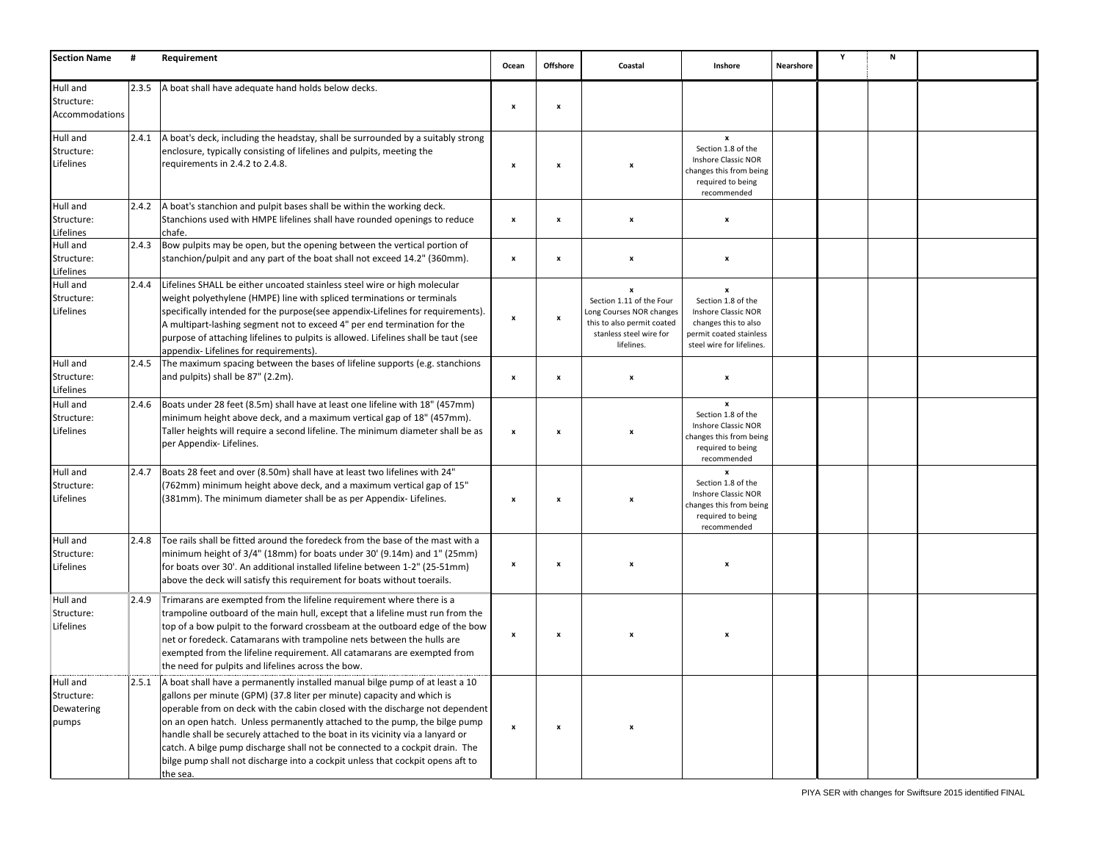| <b>Section Name</b>                           | #     | Requirement                                                                                                                                                                                                                                                                                                                                                                                                                                                                                                                                                                         | Ocean                     | <b>Offshore</b>    | Coastal                                                                                                                          | Inshore                                                                                                                               | Nearshore | Υ | N |  |
|-----------------------------------------------|-------|-------------------------------------------------------------------------------------------------------------------------------------------------------------------------------------------------------------------------------------------------------------------------------------------------------------------------------------------------------------------------------------------------------------------------------------------------------------------------------------------------------------------------------------------------------------------------------------|---------------------------|--------------------|----------------------------------------------------------------------------------------------------------------------------------|---------------------------------------------------------------------------------------------------------------------------------------|-----------|---|---|--|
| Hull and<br>Structure:<br>Accommodations      | 2.3.5 | A boat shall have adequate hand holds below decks.                                                                                                                                                                                                                                                                                                                                                                                                                                                                                                                                  | $\boldsymbol{\mathsf{x}}$ | $\pmb{\mathsf{x}}$ |                                                                                                                                  |                                                                                                                                       |           |   |   |  |
| Hull and<br>Structure:<br>Lifelines           | 2.4.1 | A boat's deck, including the headstay, shall be surrounded by a suitably strong<br>enclosure, typically consisting of lifelines and pulpits, meeting the<br>requirements in 2.4.2 to 2.4.8.                                                                                                                                                                                                                                                                                                                                                                                         | $\boldsymbol{\mathsf{x}}$ | x                  |                                                                                                                                  | $\boldsymbol{x}$<br>Section 1.8 of the<br><b>Inshore Classic NOR</b><br>changes this from being<br>required to being<br>recommended   |           |   |   |  |
| Hull and<br>Structure:<br>Lifelines           | 2.4.2 | A boat's stanchion and pulpit bases shall be within the working deck.<br>Stanchions used with HMPE lifelines shall have rounded openings to reduce<br>chafe.                                                                                                                                                                                                                                                                                                                                                                                                                        | $\pmb{\times}$            | $\pmb{\mathsf{x}}$ | x                                                                                                                                | x                                                                                                                                     |           |   |   |  |
| Hull and<br>Structure:<br>Lifelines           | 2.4.3 | Bow pulpits may be open, but the opening between the vertical portion of<br>stanchion/pulpit and any part of the boat shall not exceed 14.2" (360mm).                                                                                                                                                                                                                                                                                                                                                                                                                               | $\pmb{\mathsf{x}}$        | x                  | x                                                                                                                                | x                                                                                                                                     |           |   |   |  |
| Hull and<br>Structure:<br>Lifelines           | 2.4.4 | Lifelines SHALL be either uncoated stainless steel wire or high molecular<br>weight polyethylene (HMPE) line with spliced terminations or terminals<br>specifically intended for the purpose(see appendix-Lifelines for requirements).<br>A multipart-lashing segment not to exceed 4" per end termination for the<br>purpose of attaching lifelines to pulpits is allowed. Lifelines shall be taut (see<br>appendix- Lifelines for requirements).                                                                                                                                  | $\boldsymbol{\mathsf{x}}$ | x                  | x<br>Section 1.11 of the Four<br>Long Courses NOR changes<br>this to also permit coated<br>stanless steel wire for<br>lifelines. | x<br>Section 1.8 of the<br>Inshore Classic NOR<br>changes this to also<br>permit coated stainless<br>steel wire for lifelines.        |           |   |   |  |
| Hull and<br>Structure:<br>Lifelines           | 2.4.5 | The maximum spacing between the bases of lifeline supports (e.g. stanchions<br>and pulpits) shall be 87" (2.2m).                                                                                                                                                                                                                                                                                                                                                                                                                                                                    | $\pmb{\mathsf{x}}$        | $\pmb{\mathsf{x}}$ | $\boldsymbol{x}$                                                                                                                 | X                                                                                                                                     |           |   |   |  |
| Hull and<br>Structure:<br>Lifelines           | 2.4.6 | Boats under 28 feet (8.5m) shall have at least one lifeline with 18" (457mm)<br>minimum height above deck, and a maximum vertical gap of 18" (457mm).<br>Taller heights will require a second lifeline. The minimum diameter shall be as<br>per Appendix- Lifelines.                                                                                                                                                                                                                                                                                                                | $\pmb{\mathsf{x}}$        | $\pmb{\mathsf{x}}$ |                                                                                                                                  | $\boldsymbol{x}$<br>Section 1.8 of the<br><b>Inshore Classic NOR</b><br>changes this from being<br>required to being<br>recommended   |           |   |   |  |
| Hull and<br>Structure:<br>Lifelines           | 2.4.7 | Boats 28 feet and over (8.50m) shall have at least two lifelines with 24"<br>(762mm) minimum height above deck, and a maximum vertical gap of 15"<br>(381mm). The minimum diameter shall be as per Appendix- Lifelines.                                                                                                                                                                                                                                                                                                                                                             | $\boldsymbol{\mathsf{x}}$ | x                  | $\boldsymbol{\mathsf{x}}$                                                                                                        | $\boldsymbol{\mathsf{x}}$<br>Section 1.8 of the<br>Inshore Classic NOR<br>changes this from being<br>required to being<br>recommended |           |   |   |  |
| Hull and<br>Structure:<br>Lifelines           | 2.4.8 | Toe rails shall be fitted around the foredeck from the base of the mast with a<br>minimum height of 3/4" (18mm) for boats under 30' (9.14m) and 1" (25mm)<br>for boats over 30'. An additional installed lifeline between 1-2" (25-51mm)<br>above the deck will satisfy this requirement for boats without toerails.                                                                                                                                                                                                                                                                | $\pmb{\times}$            | x                  | X                                                                                                                                | x                                                                                                                                     |           |   |   |  |
| Hull and<br>Structure:<br>Lifelines           | 2.4.9 | Trimarans are exempted from the lifeline requirement where there is a<br>trampoline outboard of the main hull, except that a lifeline must run from the<br>top of a bow pulpit to the forward crossbeam at the outboard edge of the bow<br>net or foredeck. Catamarans with trampoline nets between the hulls are<br>exempted from the lifeline requirement. All catamarans are exempted from<br>the need for pulpits and lifelines across the bow.                                                                                                                                 | x                         | x                  |                                                                                                                                  |                                                                                                                                       |           |   |   |  |
| Hull and<br>Structure:<br>Dewatering<br>pumps | 2.5.1 | A boat shall have a permanently installed manual bilge pump of at least a 10<br>gallons per minute (GPM) (37.8 liter per minute) capacity and which is<br>operable from on deck with the cabin closed with the discharge not dependent<br>on an open hatch. Unless permanently attached to the pump, the bilge pump<br>handle shall be securely attached to the boat in its vicinity via a lanyard or<br>catch. A bilge pump discharge shall not be connected to a cockpit drain. The<br>bilge pump shall not discharge into a cockpit unless that cockpit opens aft to<br>the sea. | $\pmb{\mathsf{x}}$        | x                  | $\boldsymbol{\mathsf{x}}$                                                                                                        |                                                                                                                                       |           |   |   |  |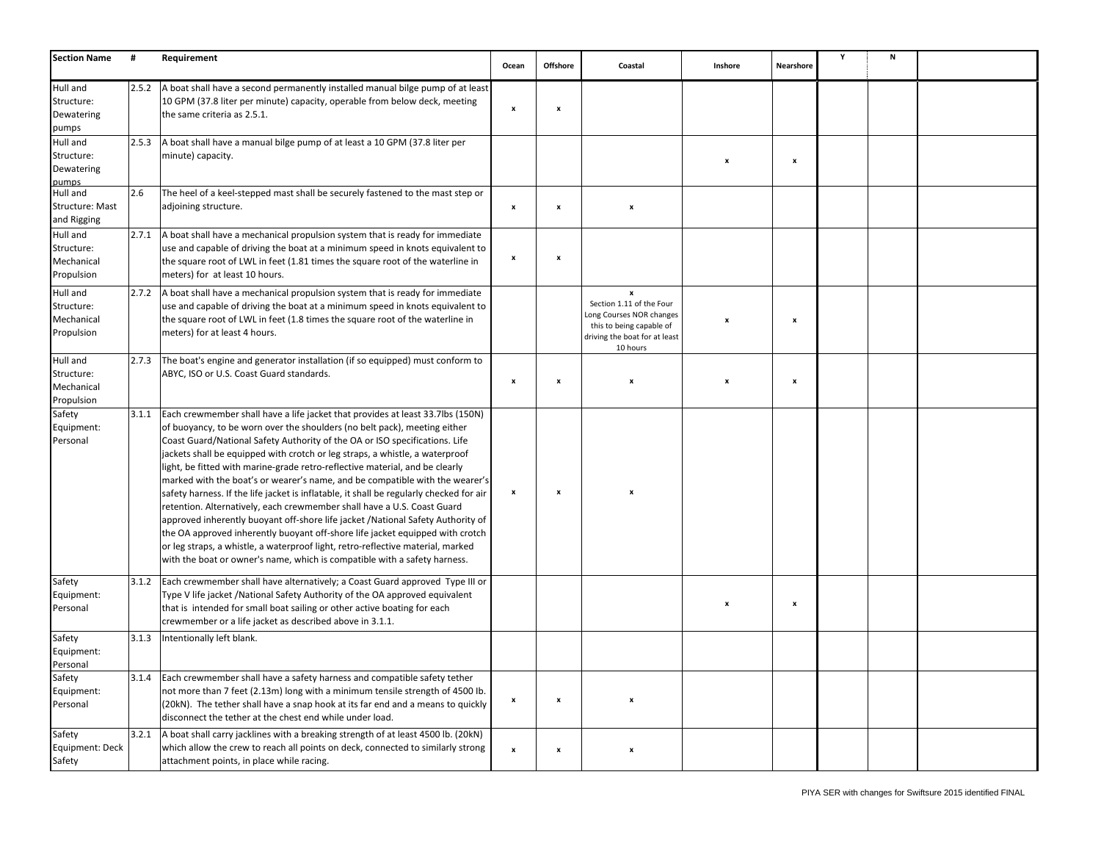| <b>Section Name</b>                                | #     | Requirement                                                                                                                                                                                                                                                                                                                                                                                                                                                                                                                                                                                                                                                                                                                                                                                                                                                                                                                                                                                          | Ocean                     | Offshore           | Coastal                                                                                                                                       | Inshore | Nearshore                 | Y | N |  |
|----------------------------------------------------|-------|------------------------------------------------------------------------------------------------------------------------------------------------------------------------------------------------------------------------------------------------------------------------------------------------------------------------------------------------------------------------------------------------------------------------------------------------------------------------------------------------------------------------------------------------------------------------------------------------------------------------------------------------------------------------------------------------------------------------------------------------------------------------------------------------------------------------------------------------------------------------------------------------------------------------------------------------------------------------------------------------------|---------------------------|--------------------|-----------------------------------------------------------------------------------------------------------------------------------------------|---------|---------------------------|---|---|--|
| Hull and<br>Structure:<br>Dewatering<br>pumps      | 2.5.2 | A boat shall have a second permanently installed manual bilge pump of at least<br>10 GPM (37.8 liter per minute) capacity, operable from below deck, meeting<br>the same criteria as 2.5.1.                                                                                                                                                                                                                                                                                                                                                                                                                                                                                                                                                                                                                                                                                                                                                                                                          | $\boldsymbol{\mathsf{x}}$ | $\pmb{\mathsf{x}}$ |                                                                                                                                               |         |                           |   |   |  |
| Hull and<br>Structure:<br>Dewatering<br>pumps      | 2.5.3 | A boat shall have a manual bilge pump of at least a 10 GPM (37.8 liter per<br>minute) capacity.                                                                                                                                                                                                                                                                                                                                                                                                                                                                                                                                                                                                                                                                                                                                                                                                                                                                                                      |                           |                    |                                                                                                                                               | X       | $\pmb{\mathsf{x}}$        |   |   |  |
| Hull and<br>Structure: Mast<br>and Rigging         | 2.6   | The heel of a keel-stepped mast shall be securely fastened to the mast step or<br>adjoining structure.                                                                                                                                                                                                                                                                                                                                                                                                                                                                                                                                                                                                                                                                                                                                                                                                                                                                                               | $\boldsymbol{\mathsf{x}}$ | $\boldsymbol{x}$   | $\pmb{\times}$                                                                                                                                |         |                           |   |   |  |
| Hull and<br>Structure:<br>Mechanical<br>Propulsion | 2.7.1 | A boat shall have a mechanical propulsion system that is ready for immediate<br>use and capable of driving the boat at a minimum speed in knots equivalent to<br>the square root of LWL in feet (1.81 times the square root of the waterline in<br>meters) for at least 10 hours.                                                                                                                                                                                                                                                                                                                                                                                                                                                                                                                                                                                                                                                                                                                    | $\boldsymbol{\mathsf{x}}$ | $\pmb{\mathsf{x}}$ |                                                                                                                                               |         |                           |   |   |  |
| Hull and<br>Structure:<br>Mechanical<br>Propulsion | 2.7.2 | A boat shall have a mechanical propulsion system that is ready for immediate<br>use and capable of driving the boat at a minimum speed in knots equivalent to<br>the square root of LWL in feet (1.8 times the square root of the waterline in<br>meters) for at least 4 hours.                                                                                                                                                                                                                                                                                                                                                                                                                                                                                                                                                                                                                                                                                                                      |                           |                    | $\mathbf{x}$<br>Section 1.11 of the Four<br>Long Courses NOR changes<br>this to being capable of<br>driving the boat for at least<br>10 hours |         | $\boldsymbol{\mathsf{x}}$ |   |   |  |
| Hull and<br>Structure:<br>Mechanical<br>Propulsion | 2.7.3 | The boat's engine and generator installation (if so equipped) must conform to<br>ABYC, ISO or U.S. Coast Guard standards.                                                                                                                                                                                                                                                                                                                                                                                                                                                                                                                                                                                                                                                                                                                                                                                                                                                                            | $\boldsymbol{\mathsf{x}}$ | $\pmb{\mathsf{x}}$ | x                                                                                                                                             | X       | $\pmb{\mathsf{x}}$        |   |   |  |
| Safety<br>Equipment:<br>Personal                   | 3.1.1 | Each crewmember shall have a life jacket that provides at least 33.7lbs (150N)<br>of buoyancy, to be worn over the shoulders (no belt pack), meeting either<br>Coast Guard/National Safety Authority of the OA or ISO specifications. Life<br>jackets shall be equipped with crotch or leg straps, a whistle, a waterproof<br>light, be fitted with marine-grade retro-reflective material, and be clearly<br>marked with the boat's or wearer's name, and be compatible with the wearer's<br>safety harness. If the life jacket is inflatable, it shall be regularly checked for air<br>retention. Alternatively, each crewmember shall have a U.S. Coast Guard<br>approved inherently buoyant off-shore life jacket /National Safety Authority of<br>the OA approved inherently buoyant off-shore life jacket equipped with crotch<br>or leg straps, a whistle, a waterproof light, retro-reflective material, marked<br>with the boat or owner's name, which is compatible with a safety harness. | $\pmb{\mathsf{x}}$        | $\pmb{\mathsf{x}}$ |                                                                                                                                               |         |                           |   |   |  |
| Safety<br>Equipment:<br>Personal                   | 3.1.2 | Each crewmember shall have alternatively; a Coast Guard approved Type III or<br>Type V life jacket /National Safety Authority of the OA approved equivalent<br>that is intended for small boat sailing or other active boating for each<br>crewmember or a life jacket as described above in 3.1.1.                                                                                                                                                                                                                                                                                                                                                                                                                                                                                                                                                                                                                                                                                                  |                           |                    |                                                                                                                                               | x       | $\pmb{\mathsf{x}}$        |   |   |  |
| Safety<br>Equipment:<br>Personal                   | 3.1.3 | Intentionally left blank.                                                                                                                                                                                                                                                                                                                                                                                                                                                                                                                                                                                                                                                                                                                                                                                                                                                                                                                                                                            |                           |                    |                                                                                                                                               |         |                           |   |   |  |
| Safety<br>Equipment:<br>Personal                   | 3.1.4 | Each crewmember shall have a safety harness and compatible safety tether<br>not more than 7 feet (2.13m) long with a minimum tensile strength of 4500 lb.<br>(20kN). The tether shall have a snap hook at its far end and a means to quickly<br>disconnect the tether at the chest end while under load.                                                                                                                                                                                                                                                                                                                                                                                                                                                                                                                                                                                                                                                                                             | $\boldsymbol{\mathsf{x}}$ | $\boldsymbol{x}$   |                                                                                                                                               |         |                           |   |   |  |
| Safety<br>Equipment: Deck<br>Safety                | 3.2.1 | A boat shall carry jacklines with a breaking strength of at least 4500 lb. (20kN)<br>which allow the crew to reach all points on deck, connected to similarly strong<br>attachment points, in place while racing.                                                                                                                                                                                                                                                                                                                                                                                                                                                                                                                                                                                                                                                                                                                                                                                    | $\boldsymbol{\mathsf{x}}$ | $\boldsymbol{x}$   | $\boldsymbol{\mathsf{x}}$                                                                                                                     |         |                           |   |   |  |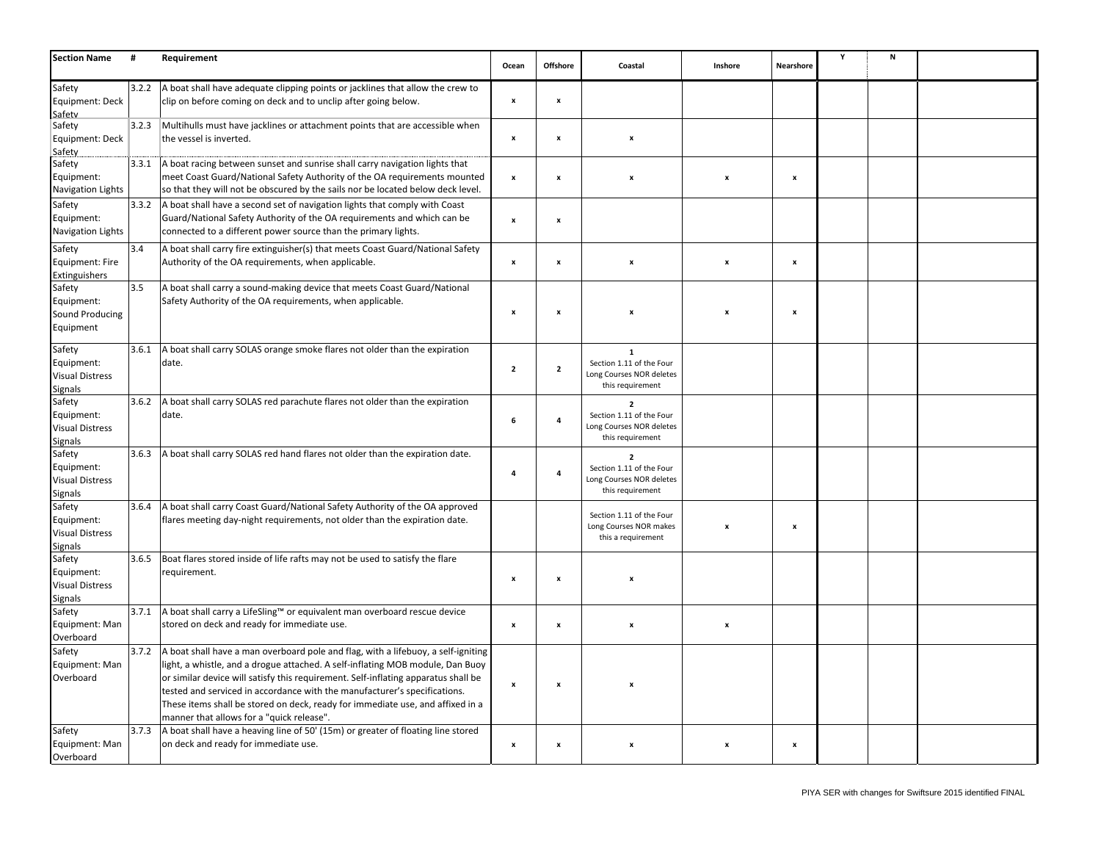| <b>Section Name</b>      | #     | Requirement                                                                                                                                                     | Ocean                     | Offshore                  | Coastal                                      | Inshore                   | Nearshore          | Υ | N |  |
|--------------------------|-------|-----------------------------------------------------------------------------------------------------------------------------------------------------------------|---------------------------|---------------------------|----------------------------------------------|---------------------------|--------------------|---|---|--|
| Safety                   | 3.2.2 | A boat shall have adequate clipping points or jacklines that allow the crew to                                                                                  |                           |                           |                                              |                           |                    |   |   |  |
| Equipment: Deck          |       | clip on before coming on deck and to unclip after going below.                                                                                                  | $\boldsymbol{\mathsf{x}}$ | $\boldsymbol{\mathsf{x}}$ |                                              |                           |                    |   |   |  |
| Safety                   |       |                                                                                                                                                                 |                           |                           |                                              |                           |                    |   |   |  |
| Safety                   | 3.2.3 | Multihulls must have jacklines or attachment points that are accessible when                                                                                    |                           |                           |                                              |                           |                    |   |   |  |
| Equipment: Deck          |       | the vessel is inverted.                                                                                                                                         | $\boldsymbol{\mathsf{x}}$ | $\boldsymbol{\mathsf{x}}$ | $\pmb{\mathsf{x}}$                           |                           |                    |   |   |  |
| Safety                   |       |                                                                                                                                                                 |                           |                           |                                              |                           |                    |   |   |  |
| Safety                   | 3.3.1 | A boat racing between sunset and sunrise shall carry navigation lights that                                                                                     |                           |                           |                                              |                           |                    |   |   |  |
| Equipment:               |       | meet Coast Guard/National Safety Authority of the OA requirements mounted                                                                                       | $\pmb{\mathsf{x}}$        | x                         | x                                            | x                         | $\pmb{\mathsf{x}}$ |   |   |  |
| Navigation Lights        |       | so that they will not be obscured by the sails nor be located below deck level.                                                                                 |                           |                           |                                              |                           |                    |   |   |  |
| Safety                   | 3.3.2 | A boat shall have a second set of navigation lights that comply with Coast                                                                                      |                           |                           |                                              |                           |                    |   |   |  |
| Equipment:               |       | Guard/National Safety Authority of the OA requirements and which can be                                                                                         | $\pmb{\mathsf{x}}$        | x                         |                                              |                           |                    |   |   |  |
| <b>Navigation Lights</b> |       | connected to a different power source than the primary lights.                                                                                                  |                           |                           |                                              |                           |                    |   |   |  |
| Safety                   | 3.4   | A boat shall carry fire extinguisher(s) that meets Coast Guard/National Safety                                                                                  |                           |                           |                                              |                           |                    |   |   |  |
| Equipment: Fire          |       | Authority of the OA requirements, when applicable.                                                                                                              | $\boldsymbol{\mathsf{x}}$ | $\pmb{\mathsf{x}}$        | x                                            | x                         | $\boldsymbol{x}$   |   |   |  |
| Extinguishers            |       |                                                                                                                                                                 |                           |                           |                                              |                           |                    |   |   |  |
| Safety                   | 3.5   | A boat shall carry a sound-making device that meets Coast Guard/National                                                                                        |                           |                           |                                              |                           |                    |   |   |  |
| Equipment:               |       | Safety Authority of the OA requirements, when applicable.                                                                                                       |                           |                           |                                              |                           |                    |   |   |  |
| Sound Producing          |       |                                                                                                                                                                 | $\pmb{\mathsf{x}}$        | $\pmb{\mathsf{x}}$        | x                                            | X                         | $\pmb{\mathsf{x}}$ |   |   |  |
| Equipment                |       |                                                                                                                                                                 |                           |                           |                                              |                           |                    |   |   |  |
|                          |       |                                                                                                                                                                 |                           |                           |                                              |                           |                    |   |   |  |
| Safety                   | 3.6.1 | A boat shall carry SOLAS orange smoke flares not older than the expiration                                                                                      |                           |                           | $\mathbf 1$                                  |                           |                    |   |   |  |
| Equipment:               |       | date.                                                                                                                                                           | $\overline{\mathbf{2}}$   | $\overline{\mathbf{2}}$   | Section 1.11 of the Four                     |                           |                    |   |   |  |
| <b>Visual Distress</b>   |       |                                                                                                                                                                 |                           |                           | Long Courses NOR deletes                     |                           |                    |   |   |  |
| <b>Signals</b>           |       |                                                                                                                                                                 |                           |                           | this requirement                             |                           |                    |   |   |  |
| Safety                   | 3.6.2 | A boat shall carry SOLAS red parachute flares not older than the expiration                                                                                     |                           |                           | $\overline{2}$                               |                           |                    |   |   |  |
| Equipment:               |       | date.                                                                                                                                                           | 6                         | 4                         | Section 1.11 of the Four                     |                           |                    |   |   |  |
| <b>Visual Distress</b>   |       |                                                                                                                                                                 |                           |                           | Long Courses NOR deletes<br>this requirement |                           |                    |   |   |  |
| <b>Signals</b>           |       |                                                                                                                                                                 |                           |                           |                                              |                           |                    |   |   |  |
| Safety                   | 3.6.3 | A boat shall carry SOLAS red hand flares not older than the expiration date.                                                                                    |                           |                           | $\overline{2}$                               |                           |                    |   |   |  |
| Equipment:               |       |                                                                                                                                                                 | $\overline{a}$            | 4                         | Section 1.11 of the Four                     |                           |                    |   |   |  |
| <b>Visual Distress</b>   |       |                                                                                                                                                                 |                           |                           | Long Courses NOR deletes<br>this requirement |                           |                    |   |   |  |
| Signals                  |       |                                                                                                                                                                 |                           |                           |                                              |                           |                    |   |   |  |
| Safety                   | 3.6.4 | A boat shall carry Coast Guard/National Safety Authority of the OA approved                                                                                     |                           |                           | Section 1.11 of the Four                     |                           |                    |   |   |  |
| Equipment:               |       | flares meeting day-night requirements, not older than the expiration date.                                                                                      |                           |                           | Long Courses NOR makes                       | X                         | $\boldsymbol{x}$   |   |   |  |
| <b>Visual Distress</b>   |       |                                                                                                                                                                 |                           |                           | this a requirement                           |                           |                    |   |   |  |
| Signals                  |       |                                                                                                                                                                 |                           |                           |                                              |                           |                    |   |   |  |
| Safety                   | 3.6.5 | Boat flares stored inside of life rafts may not be used to satisfy the flare                                                                                    |                           |                           |                                              |                           |                    |   |   |  |
| Equipment:               |       | requirement.                                                                                                                                                    | $\boldsymbol{\mathsf{x}}$ | x                         | x                                            |                           |                    |   |   |  |
| <b>Visual Distress</b>   |       |                                                                                                                                                                 |                           |                           |                                              |                           |                    |   |   |  |
| Signals                  | 3.7.1 | A boat shall carry a LifeSling™ or equivalent man overboard rescue device                                                                                       |                           |                           |                                              |                           |                    |   |   |  |
| Safety<br>Equipment: Man |       | stored on deck and ready for immediate use.                                                                                                                     |                           | $\boldsymbol{x}$          |                                              |                           |                    |   |   |  |
| Overboard                |       |                                                                                                                                                                 | $\pmb{\mathsf{x}}$        |                           | x                                            | X                         |                    |   |   |  |
|                          |       |                                                                                                                                                                 |                           |                           |                                              |                           |                    |   |   |  |
| Safety                   | 3.7.2 | A boat shall have a man overboard pole and flag, with a lifebuoy, a self-igniting                                                                               |                           |                           |                                              |                           |                    |   |   |  |
| Equipment: Man           |       | light, a whistle, and a drogue attached. A self-inflating MOB module, Dan Buoy                                                                                  |                           |                           |                                              |                           |                    |   |   |  |
| Overboard                |       | or similar device will satisfy this requirement. Self-inflating apparatus shall be<br>tested and serviced in accordance with the manufacturer's specifications. | $\pmb{\mathsf{x}}$        | $\boldsymbol{x}$          | $\boldsymbol{x}$                             |                           |                    |   |   |  |
|                          |       | These items shall be stored on deck, ready for immediate use, and affixed in a                                                                                  |                           |                           |                                              |                           |                    |   |   |  |
|                          |       |                                                                                                                                                                 |                           |                           |                                              |                           |                    |   |   |  |
|                          | 3.7.3 | manner that allows for a "quick release".                                                                                                                       |                           |                           |                                              |                           |                    |   |   |  |
| Safety<br>Equipment: Man |       | A boat shall have a heaving line of 50' (15m) or greater of floating line stored<br>on deck and ready for immediate use.                                        | $\boldsymbol{x}$          | $\boldsymbol{x}$          | x                                            | $\boldsymbol{\mathsf{x}}$ | $\mathbf{x}$       |   |   |  |
| Overboard                |       |                                                                                                                                                                 |                           |                           |                                              |                           |                    |   |   |  |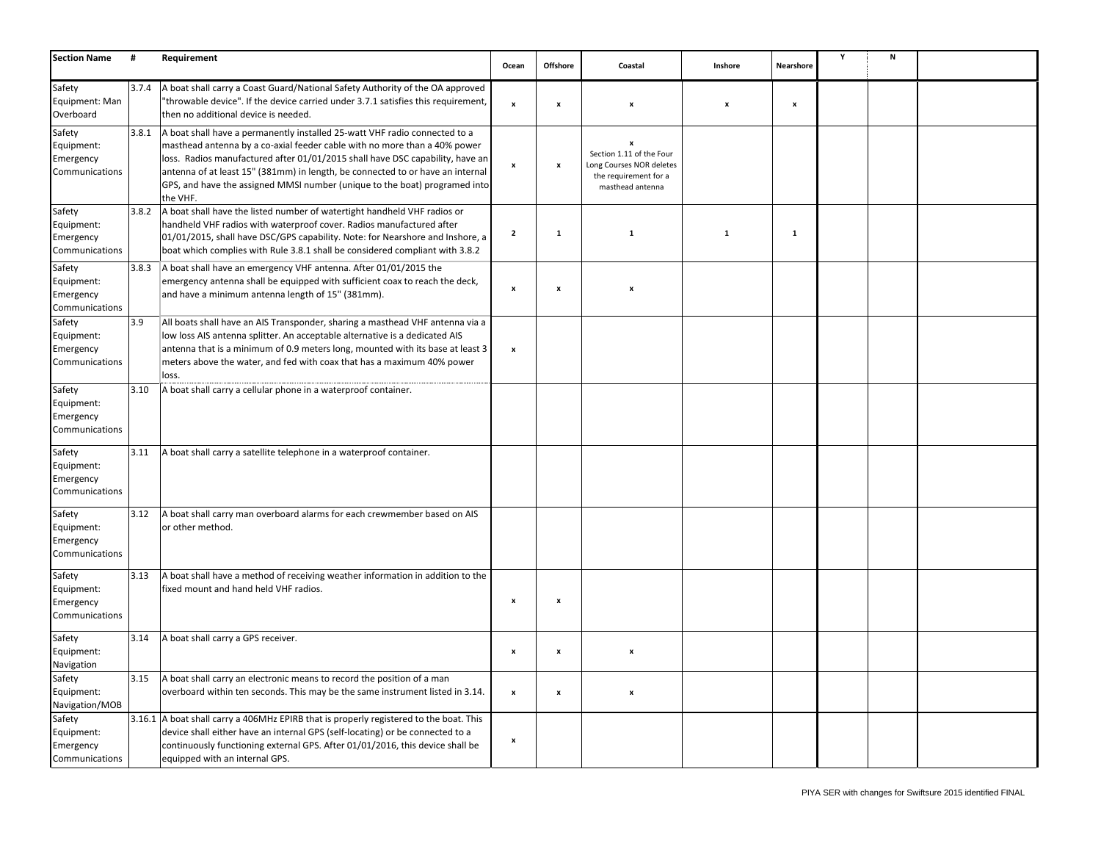| <b>Section Name</b>                                 | #      | Requirement                                                                                                                                                                                                                                                                                                                                                                                                          | Ocean                     | Offshore           | Coastal                                                                                                | Inshore                   | Nearshore    | Υ | N |  |
|-----------------------------------------------------|--------|----------------------------------------------------------------------------------------------------------------------------------------------------------------------------------------------------------------------------------------------------------------------------------------------------------------------------------------------------------------------------------------------------------------------|---------------------------|--------------------|--------------------------------------------------------------------------------------------------------|---------------------------|--------------|---|---|--|
| Safety<br>Equipment: Man<br>Overboard               | 3.7.4  | A boat shall carry a Coast Guard/National Safety Authority of the OA approved<br>'throwable device". If the device carried under 3.7.1 satisfies this requirement,<br>then no additional device is needed.                                                                                                                                                                                                           | $\boldsymbol{\mathsf{x}}$ | $\boldsymbol{x}$   | $\boldsymbol{x}$                                                                                       | $\boldsymbol{\mathsf{x}}$ | $\pmb{\chi}$ |   |   |  |
| Safety<br>Equipment:<br>Emergency<br>Communications | 3.8.1  | A boat shall have a permanently installed 25-watt VHF radio connected to a<br>masthead antenna by a co-axial feeder cable with no more than a 40% power<br>loss. Radios manufactured after 01/01/2015 shall have DSC capability, have an<br>antenna of at least 15" (381mm) in length, be connected to or have an internal<br>GPS, and have the assigned MMSI number (unique to the boat) programed into<br>the VHF. | $\boldsymbol{\mathsf{x}}$ | $\boldsymbol{x}$   | x<br>Section 1.11 of the Four<br>Long Courses NOR deletes<br>the requirement for a<br>masthead antenna |                           |              |   |   |  |
| Safety<br>Equipment:<br>Emergency<br>Communications | 3.8.2  | A boat shall have the listed number of watertight handheld VHF radios or<br>handheld VHF radios with waterproof cover. Radios manufactured after<br>01/01/2015, shall have DSC/GPS capability. Note: for Nearshore and Inshore, a<br>boat which complies with Rule 3.8.1 shall be considered compliant with 3.8.2                                                                                                    | $\overline{2}$            | $\mathbf{1}$       | $\mathbf{1}$                                                                                           | $\mathbf{1}$              | $\mathbf{1}$ |   |   |  |
| Safety<br>Equipment:<br>Emergency<br>Communications | 3.8.3  | A boat shall have an emergency VHF antenna. After 01/01/2015 the<br>emergency antenna shall be equipped with sufficient coax to reach the deck,<br>and have a minimum antenna length of 15" (381mm).                                                                                                                                                                                                                 | $\boldsymbol{\mathsf{x}}$ | $\boldsymbol{x}$   | $\boldsymbol{x}$                                                                                       |                           |              |   |   |  |
| Safety<br>Equipment:<br>Emergency<br>Communications | 3.9    | All boats shall have an AIS Transponder, sharing a masthead VHF antenna via a<br>low loss AIS antenna splitter. An acceptable alternative is a dedicated AIS<br>antenna that is a minimum of 0.9 meters long, mounted with its base at least 3<br>meters above the water, and fed with coax that has a maximum 40% power<br>loss.                                                                                    | $\pmb{\mathsf{x}}$        |                    |                                                                                                        |                           |              |   |   |  |
| Safety<br>Equipment:<br>Emergency<br>Communications | 3.10   | A boat shall carry a cellular phone in a waterproof container.                                                                                                                                                                                                                                                                                                                                                       |                           |                    |                                                                                                        |                           |              |   |   |  |
| Safety<br>Equipment:<br>Emergency<br>Communications | 3.11   | A boat shall carry a satellite telephone in a waterproof container.                                                                                                                                                                                                                                                                                                                                                  |                           |                    |                                                                                                        |                           |              |   |   |  |
| Safety<br>Equipment:<br>Emergency<br>Communications | 3.12   | A boat shall carry man overboard alarms for each crewmember based on AIS<br>or other method.                                                                                                                                                                                                                                                                                                                         |                           |                    |                                                                                                        |                           |              |   |   |  |
| Safety<br>Equipment:<br>Emergency<br>Communications | 3.13   | A boat shall have a method of receiving weather information in addition to the<br>fixed mount and hand held VHF radios.                                                                                                                                                                                                                                                                                              | $\boldsymbol{\mathsf{x}}$ | $\boldsymbol{x}$   |                                                                                                        |                           |              |   |   |  |
| Safety<br>Equipment:<br>Navigation                  | 3.14   | A boat shall carry a GPS receiver.                                                                                                                                                                                                                                                                                                                                                                                   | $\boldsymbol{\mathsf{x}}$ | $\pmb{\mathsf{x}}$ | $\boldsymbol{x}$                                                                                       |                           |              |   |   |  |
| Safety<br>Equipment:<br>Navigation/MOB              | 3.15   | A boat shall carry an electronic means to record the position of a man<br>overboard within ten seconds. This may be the same instrument listed in 3.14.                                                                                                                                                                                                                                                              | $\pmb{\mathsf{x}}$        | $\boldsymbol{x}$   | $\boldsymbol{x}$                                                                                       |                           |              |   |   |  |
| Safety<br>Equipment:<br>Emergency<br>Communications | 3.16.1 | A boat shall carry a 406MHz EPIRB that is properly registered to the boat. This<br>device shall either have an internal GPS (self-locating) or be connected to a<br>continuously functioning external GPS. After 01/01/2016, this device shall be<br>equipped with an internal GPS.                                                                                                                                  | $\boldsymbol{\mathsf{x}}$ |                    |                                                                                                        |                           |              |   |   |  |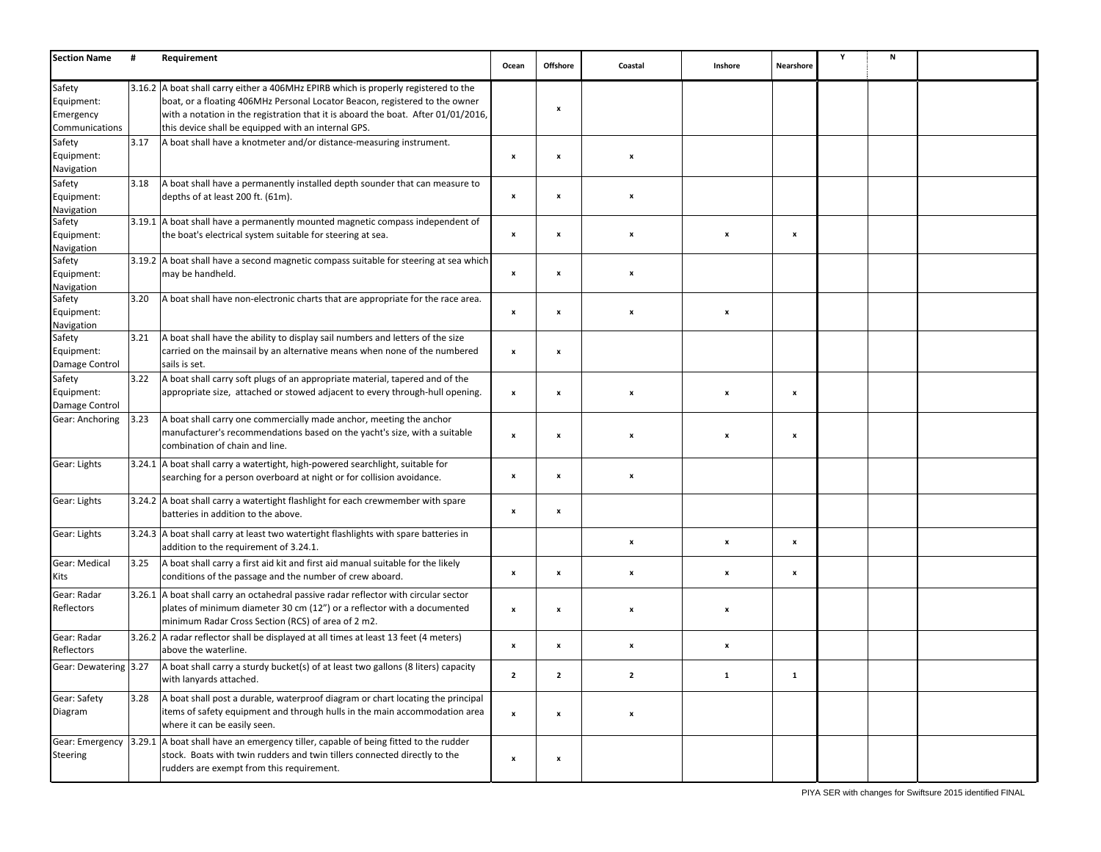| <b>Section Name</b>                                 | #    | Requirement                                                                                                                                                                                                                                                                                                    | Ocean                     | <b>Offshore</b>    | Coastal                   | Inshore                   | Nearshore          | Y | N |  |
|-----------------------------------------------------|------|----------------------------------------------------------------------------------------------------------------------------------------------------------------------------------------------------------------------------------------------------------------------------------------------------------------|---------------------------|--------------------|---------------------------|---------------------------|--------------------|---|---|--|
| Safety<br>Equipment:<br>Emergency<br>Communications |      | 3.16.2 A boat shall carry either a 406MHz EPIRB which is properly registered to the<br>boat, or a floating 406MHz Personal Locator Beacon, registered to the owner<br>with a notation in the registration that it is aboard the boat. After 01/01/2016,<br>this device shall be equipped with an internal GPS. |                           | x                  |                           |                           |                    |   |   |  |
| Safety<br>Equipment:<br>Navigation                  | 3.17 | A boat shall have a knotmeter and/or distance-measuring instrument.                                                                                                                                                                                                                                            | $\boldsymbol{x}$          | $\boldsymbol{x}$   | x                         |                           |                    |   |   |  |
| Safety<br>Equipment:<br>Navigation                  | 3.18 | A boat shall have a permanently installed depth sounder that can measure to<br>depths of at least 200 ft. (61m).                                                                                                                                                                                               | $\pmb{\times}$            | x                  | x                         |                           |                    |   |   |  |
| Safety<br>Equipment:<br>Navigation                  |      | 3.19.1 A boat shall have a permanently mounted magnetic compass independent of<br>the boat's electrical system suitable for steering at sea.                                                                                                                                                                   | $\pmb{\mathsf{x}}$        | $\pmb{\mathsf{x}}$ | x                         | x                         | $\mathbf{x}$       |   |   |  |
| Safety<br>Equipment:<br>Navigation                  |      | 3.19.2 A boat shall have a second magnetic compass suitable for steering at sea which<br>may be handheld.                                                                                                                                                                                                      | $\boldsymbol{x}$          | $\boldsymbol{x}$   | x                         |                           |                    |   |   |  |
| Safety<br>Equipment:<br>Navigation                  | 3.20 | A boat shall have non-electronic charts that are appropriate for the race area.                                                                                                                                                                                                                                | $\boldsymbol{\mathsf{x}}$ | $\pmb{\mathsf{x}}$ | x                         | X                         |                    |   |   |  |
| Safety<br>Equipment:<br>Damage Control              | 3.21 | A boat shall have the ability to display sail numbers and letters of the size<br>carried on the mainsail by an alternative means when none of the numbered<br>sails is set.                                                                                                                                    | $\boldsymbol{\mathsf{x}}$ | $\pmb{\mathsf{x}}$ |                           |                           |                    |   |   |  |
| Safety<br>Equipment:<br>Damage Control              | 3.22 | A boat shall carry soft plugs of an appropriate material, tapered and of the<br>appropriate size, attached or stowed adjacent to every through-hull opening.                                                                                                                                                   | $\boldsymbol{\mathsf{x}}$ | $\boldsymbol{x}$   | $\boldsymbol{x}$          | $\boldsymbol{\mathsf{x}}$ | $\mathbf{x}$       |   |   |  |
| Gear: Anchoring                                     | 3.23 | A boat shall carry one commercially made anchor, meeting the anchor<br>manufacturer's recommendations based on the yacht's size, with a suitable<br>combination of chain and line.                                                                                                                             | $\boldsymbol{\mathsf{x}}$ | $\pmb{\mathsf{x}}$ | x                         | x                         | x                  |   |   |  |
| Gear: Lights                                        |      | 3.24.1 A boat shall carry a watertight, high-powered searchlight, suitable for<br>searching for a person overboard at night or for collision avoidance.                                                                                                                                                        | $\boldsymbol{x}$          | $\boldsymbol{x}$   | x                         |                           |                    |   |   |  |
| Gear: Lights                                        |      | 3.24.2 A boat shall carry a watertight flashlight for each crewmember with spare<br>batteries in addition to the above.                                                                                                                                                                                        | $\boldsymbol{\mathsf{x}}$ | x                  |                           |                           |                    |   |   |  |
| Gear: Lights                                        |      | 3.24.3 A boat shall carry at least two watertight flashlights with spare batteries in<br>addition to the requirement of 3.24.1.                                                                                                                                                                                |                           |                    | x                         | X                         | $\pmb{\mathsf{x}}$ |   |   |  |
| Gear: Medical<br>Kits                               | 3.25 | A boat shall carry a first aid kit and first aid manual suitable for the likely<br>conditions of the passage and the number of crew aboard.                                                                                                                                                                    | $\pmb{\mathsf{x}}$        | $\pmb{\mathsf{x}}$ | x                         | x                         | $\pmb{\mathsf{x}}$ |   |   |  |
| Gear: Radar<br>Reflectors                           |      | 3.26.1 A boat shall carry an octahedral passive radar reflector with circular sector<br>plates of minimum diameter 30 cm (12") or a reflector with a documented<br>minimum Radar Cross Section (RCS) of area of 2 m2.                                                                                          | $\boldsymbol{\mathsf{x}}$ | $\boldsymbol{x}$   | $\boldsymbol{\mathsf{x}}$ | x                         |                    |   |   |  |
| Gear: Radar<br>Reflectors                           |      | 3.26.2 A radar reflector shall be displayed at all times at least 13 feet (4 meters)<br>above the waterline.                                                                                                                                                                                                   | $\boldsymbol{\mathsf{x}}$ | $\pmb{\mathsf{x}}$ | x                         | x                         |                    |   |   |  |
| Gear: Dewatering 3.27                               |      | A boat shall carry a sturdy bucket(s) of at least two gallons (8 liters) capacity<br>with lanyards attached.                                                                                                                                                                                                   | 2                         |                    |                           |                           |                    |   |   |  |
| Gear: Safety<br>Diagram                             | 3.28 | A boat shall post a durable, waterproof diagram or chart locating the principal<br>items of safety equipment and through hulls in the main accommodation area<br>where it can be easily seen.                                                                                                                  | $\pmb{\mathsf{x}}$        | $\pmb{\mathsf{x}}$ | x                         |                           |                    |   |   |  |
| <b>Steering</b>                                     |      | Gear: Emergency $\left 3.29.1\right $ A boat shall have an emergency tiller, capable of being fitted to the rudder<br>stock. Boats with twin rudders and twin tillers connected directly to the<br>rudders are exempt from this requirement.                                                                   | $\pmb{\mathsf{x}}$        | x                  |                           |                           |                    |   |   |  |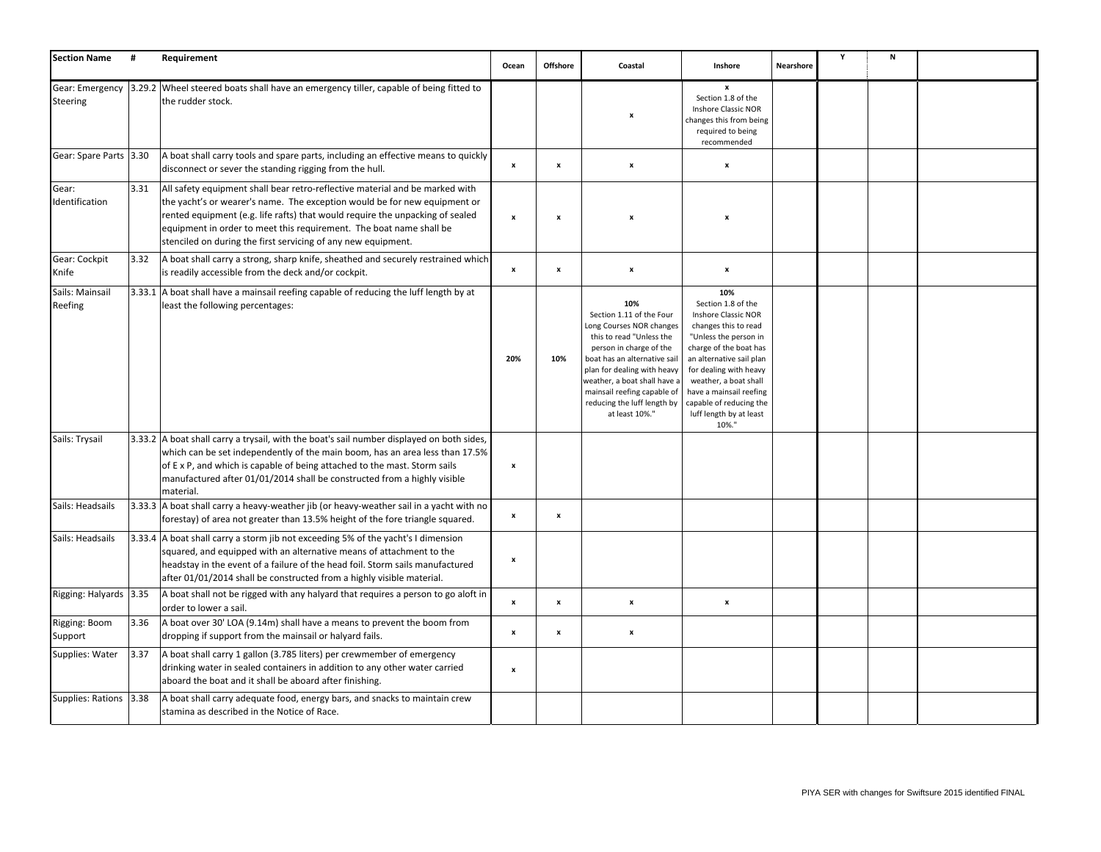| <b>Section Name</b>        | #    | Requirement                                                                                                                                                                                                                                                                                                                                                                        | Ocean                     | <b>Offshore</b>           | Coastal                                                                                                                                                                                                                                                                                           | Inshore                                                                                                                                                                                                                                                                                              | Nearshore | Y | N |  |
|----------------------------|------|------------------------------------------------------------------------------------------------------------------------------------------------------------------------------------------------------------------------------------------------------------------------------------------------------------------------------------------------------------------------------------|---------------------------|---------------------------|---------------------------------------------------------------------------------------------------------------------------------------------------------------------------------------------------------------------------------------------------------------------------------------------------|------------------------------------------------------------------------------------------------------------------------------------------------------------------------------------------------------------------------------------------------------------------------------------------------------|-----------|---|---|--|
| Steering                   |      | Gear: Emergency  3.29.2   Wheel steered boats shall have an emergency tiller, capable of being fitted to<br>the rudder stock.                                                                                                                                                                                                                                                      |                           |                           | x                                                                                                                                                                                                                                                                                                 | x<br>Section 1.8 of the<br>Inshore Classic NOR<br>changes this from being<br>required to being<br>recommended                                                                                                                                                                                        |           |   |   |  |
| Gear: Spare Parts 3.30     |      | A boat shall carry tools and spare parts, including an effective means to quickly<br>disconnect or sever the standing rigging from the hull.                                                                                                                                                                                                                                       | $\boldsymbol{\mathsf{x}}$ | $\pmb{\mathsf{x}}$        | $\pmb{\mathsf{x}}$                                                                                                                                                                                                                                                                                | $\boldsymbol{\mathsf{x}}$                                                                                                                                                                                                                                                                            |           |   |   |  |
| Gear:<br>Identification    | 3.31 | All safety equipment shall bear retro-reflective material and be marked with<br>the yacht's or wearer's name. The exception would be for new equipment or<br>rented equipment (e.g. life rafts) that would require the unpacking of sealed<br>equipment in order to meet this requirement. The boat name shall be<br>stenciled on during the first servicing of any new equipment. | $\pmb{\mathsf{x}}$        | $\boldsymbol{\mathsf{x}}$ | $\boldsymbol{\mathsf{x}}$                                                                                                                                                                                                                                                                         | $\boldsymbol{\mathsf{x}}$                                                                                                                                                                                                                                                                            |           |   |   |  |
| Gear: Cockpit<br>Knife     | 3.32 | A boat shall carry a strong, sharp knife, sheathed and securely restrained which<br>is readily accessible from the deck and/or cockpit.                                                                                                                                                                                                                                            | $\mathbf{x}$              | $\pmb{\mathsf{x}}$        | $\pmb{\mathsf{x}}$                                                                                                                                                                                                                                                                                | $\boldsymbol{\mathsf{x}}$                                                                                                                                                                                                                                                                            |           |   |   |  |
| Sails: Mainsail<br>Reefing |      | 3.33.1 A boat shall have a mainsail reefing capable of reducing the luff length by at<br>least the following percentages:                                                                                                                                                                                                                                                          | 20%                       | 10%                       | 10%<br>Section 1.11 of the Four<br>Long Courses NOR changes<br>this to read "Unless the<br>person in charge of the<br>boat has an alternative sail<br>plan for dealing with heavy<br>weather, a boat shall have a<br>mainsail reefing capable of<br>reducing the luff length by<br>at least 10%." | 10%<br>Section 1.8 of the<br>Inshore Classic NOR<br>changes this to read<br>"Unless the person in<br>charge of the boat has<br>an alternative sail plan<br>for dealing with heavy<br>weather, a boat shall<br>have a mainsail reefing<br>capable of reducing the<br>luff length by at least<br>10%." |           |   |   |  |
| Sails: Trysail             |      | 3.33.2 A boat shall carry a trysail, with the boat's sail number displayed on both sides,<br>which can be set independently of the main boom, has an area less than 17.5%<br>of E x P, and which is capable of being attached to the mast. Storm sails<br>manufactured after 01/01/2014 shall be constructed from a highly visible<br>material.                                    | $\boldsymbol{\mathsf{x}}$ |                           |                                                                                                                                                                                                                                                                                                   |                                                                                                                                                                                                                                                                                                      |           |   |   |  |
| Sails: Headsails           |      | 3.33.3 A boat shall carry a heavy-weather jib (or heavy-weather sail in a yacht with no<br>forestay) of area not greater than 13.5% height of the fore triangle squared.                                                                                                                                                                                                           | $\pmb{\mathsf{x}}$        | $\pmb{\mathsf{x}}$        |                                                                                                                                                                                                                                                                                                   |                                                                                                                                                                                                                                                                                                      |           |   |   |  |
| Sails: Headsails           |      | 3.33.4 A boat shall carry a storm jib not exceeding 5% of the yacht's I dimension<br>squared, and equipped with an alternative means of attachment to the<br>headstay in the event of a failure of the head foil. Storm sails manufactured<br>after 01/01/2014 shall be constructed from a highly visible material.                                                                | X                         |                           |                                                                                                                                                                                                                                                                                                   |                                                                                                                                                                                                                                                                                                      |           |   |   |  |
| Rigging: Halyards   3.35   |      | A boat shall not be rigged with any halyard that requires a person to go aloft in<br>order to lower a sail.                                                                                                                                                                                                                                                                        | X                         | $\boldsymbol{\mathsf{x}}$ | $\pmb{\mathsf{x}}$                                                                                                                                                                                                                                                                                | $\pmb{\mathsf{x}}$                                                                                                                                                                                                                                                                                   |           |   |   |  |
| Rigging: Boom<br>Support   | 3.36 | A boat over 30' LOA (9.14m) shall have a means to prevent the boom from<br>dropping if support from the mainsail or halyard fails.                                                                                                                                                                                                                                                 | $\pmb{\mathsf{x}}$        | $\pmb{\mathsf{x}}$        | $\pmb{\mathsf{x}}$                                                                                                                                                                                                                                                                                |                                                                                                                                                                                                                                                                                                      |           |   |   |  |
| Supplies: Water            | 3.37 | A boat shall carry 1 gallon (3.785 liters) per crewmember of emergency<br>drinking water in sealed containers in addition to any other water carried<br>aboard the boat and it shall be aboard after finishing.                                                                                                                                                                    | $\mathbf{x}$              |                           |                                                                                                                                                                                                                                                                                                   |                                                                                                                                                                                                                                                                                                      |           |   |   |  |
| Supplies: Rations 3.38     |      | A boat shall carry adequate food, energy bars, and snacks to maintain crew<br>stamina as described in the Notice of Race.                                                                                                                                                                                                                                                          |                           |                           |                                                                                                                                                                                                                                                                                                   |                                                                                                                                                                                                                                                                                                      |           |   |   |  |